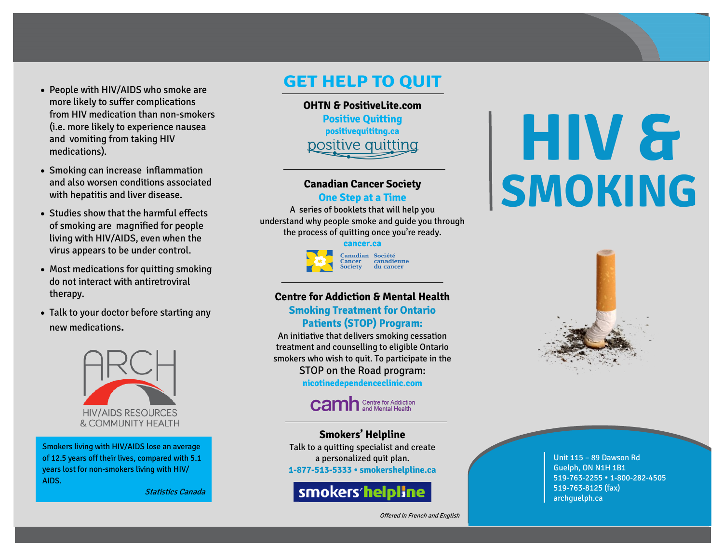- People with HIV/AIDS who smoke are more likely to suffer complications from HIV medication than non-smokers (i.e. more likely to experience nausea and vomiting from taking HIV medications).
- Smoking can increase inflammation and also worsen conditions associated with hepatitis and liver disease.
- Studies show that the harmful effects of smoking are magnified for people living with HIV/AIDS, even when the virus appears to be under control.
- Most medications for quitting smoking do not interact with antiretroviral therapy.
- Talk to your doctor before starting any new medications.



Smokers living with HIV/AIDS lose an average of 12.5 years off their lives, compared with 5.1 years lost for non-smokers living with HIV/ AIDS.

Statistics Canada

### **GET HELP TO QUIT**

**OHTN & PositiveLite.com Positive Quitting positivequititng.ca** positive quitting

#### **Canadian Cancer Society**

#### **One Step at a Time**

A series of booklets that will help you understand why people smoke and guide you through the process of quitting once you're ready.

# **cancer.ca**



#### **Centre for Addiction & Mental Health Smoking Treatment for Ontario Patients (STOP) Program:**

An initiative that delivers smoking cessation treatment and counselling to eligible Ontario smokers who wish to quit. To participate in the STOP on the Road program: **nicotinedependenceclinic.com**

# **Camh** Sentre for Addiction

**Smokers' Helpline** Talk to a quitting specialist and create a personalized quit plan. **1-877-513-5333 • smokershelpline.ca**

## smokers/helpline

Offered in French and English

# **HIV & SMOKING**



Unit 115 – 89 Dawson Rd Guelph, ON N1H 1B1 519-763-2255 1-800-282-4505 519-763-8125 (fax) archguelph.ca